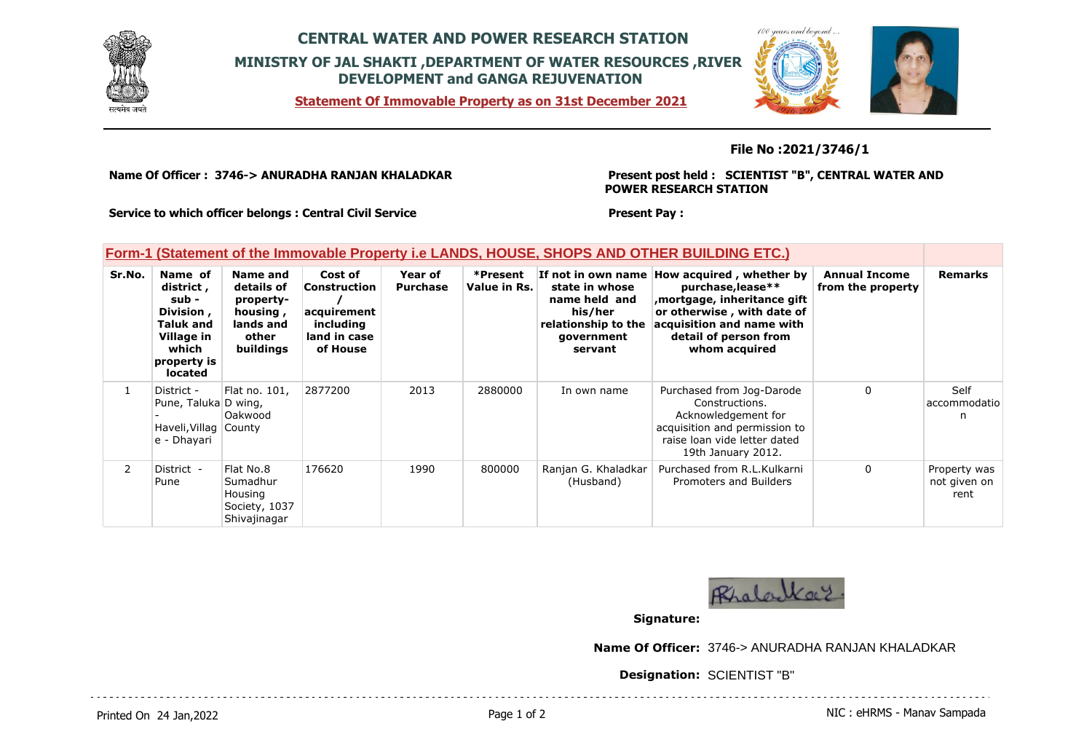

## **CENTRAL WATER AND POWER RESEARCH STATION MINISTRY OF JAL SHAKTI ,DEPARTMENT OF WATER RESOURCES ,RIVER DEVELOPMENT and GANGA REJUVENATION**

**Statement Of Immovable Property as on 31st December 2021**



### **File No :2021/3746/1**

**Name Of Officer : 3746-> ANURADHA RANJAN KHALADKAR** 

#### **Present post held : SCIENTIST "B", CENTRAL WATER AND POWER RESEARCH STATION**

**Service to which officer belongs : Central Civil Service**

#### **Present Pay :**

### **Form-1 (Statement of the Immovable Property i.e LANDS, HOUSE, SHOPS AND OTHER BUILDING ETC.)**

| Sr.No. | Name of<br>district,<br>sub -<br>Division,<br><b>Taluk and</b><br>Village in<br>which<br>property is<br>located | Name and<br>details of<br>property-<br>housing,<br>lands and<br>other<br>buildings | Cost of<br><b>Construction</b><br>acquirement<br>including<br>land in case<br>of House | Year of<br><b>Purchase</b> | *Present<br>Value in Rs. | If not in own name<br>state in whose<br>name held and<br>his/her<br>relationship to the<br>government<br>servant | How acquired, whether by<br>purchase, lease**<br>mortgage, inheritance gift,<br>or otherwise, with date of<br>acquisition and name with<br>detail of person from<br>whom acquired | <b>Annual Income</b><br>from the property | <b>Remarks</b>                       |
|--------|-----------------------------------------------------------------------------------------------------------------|------------------------------------------------------------------------------------|----------------------------------------------------------------------------------------|----------------------------|--------------------------|------------------------------------------------------------------------------------------------------------------|-----------------------------------------------------------------------------------------------------------------------------------------------------------------------------------|-------------------------------------------|--------------------------------------|
|        | District -<br>Pune, Taluka D wing,<br>Haveli, Villag County<br>e - Dhayari                                      | Flat no. 101,<br>Oakwood                                                           | 2877200                                                                                | 2013                       | 2880000                  | In own name                                                                                                      | Purchased from Jog-Darode<br>Constructions.<br>Acknowledgement for<br>acquisition and permission to<br>raise loan vide letter dated<br>19th January 2012.                         | 0                                         | Self<br>accommodatio<br>n            |
| 2      | District -<br>Pune                                                                                              | Flat No.8<br>Sumadhur<br>Housing<br>Society, 1037<br>Shivajinagar                  | 176620                                                                                 | 1990                       | 800000                   | Ranjan G. Khaladkar<br>(Husband)                                                                                 | Purchased from R.L.Kulkarni<br>Promoters and Builders                                                                                                                             | $\mathbf{0}$                              | Property was<br>not given on<br>rent |



**Signature:**

**Name Of Officer:** 3746-> ANURADHA RANJAN KHALADKAR

**Designation:** SCIENTIST "B"